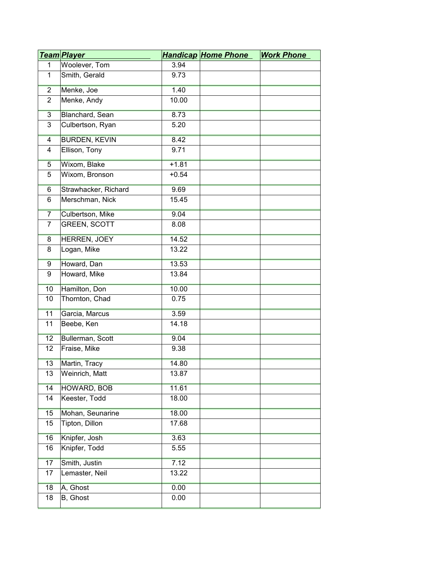|                | <u>Team Player</u>   |         | <b>Handicap Home Phone</b> | <b>Work Phone</b> |
|----------------|----------------------|---------|----------------------------|-------------------|
| $\mathbf{1}$   | Woolever, Tom        | 3.94    |                            |                   |
| $\mathbf{1}$   | Smith, Gerald        | 9.73    |                            |                   |
| $\overline{2}$ | Menke, Joe           | 1.40    |                            |                   |
| $\overline{2}$ | Menke, Andy          | 10.00   |                            |                   |
| $\overline{3}$ | Blanchard, Sean      | 8.73    |                            |                   |
| 3              | Culbertson, Ryan     | 5.20    |                            |                   |
| $\overline{4}$ | <b>BURDEN, KEVIN</b> | 8.42    |                            |                   |
| 4              | Ellison, Tony        | 9.71    |                            |                   |
| $\overline{5}$ | Wixom, Blake         | $+1.81$ |                            |                   |
| 5              | Wixom, Bronson       | $+0.54$ |                            |                   |
| $6\overline{}$ | Strawhacker, Richard | 9.69    |                            |                   |
| 6              | Merschman, Nick      | 15.45   |                            |                   |
| $\overline{7}$ | Culbertson, Mike     | 9.04    |                            |                   |
| $\overline{7}$ | <b>GREEN, SCOTT</b>  | 8.08    |                            |                   |
| 8              | HERREN, JOEY         | 14.52   |                            |                   |
| 8              | Logan, Mike          | 13.22   |                            |                   |
| 9              | Howard, Dan          | 13.53   |                            |                   |
| 9              | Howard, Mike         | 13.84   |                            |                   |
| 10             | Hamilton, Don        | 10.00   |                            |                   |
| 10             | Thornton, Chad       | 0.75    |                            |                   |
| 11             | Garcia, Marcus       | 3.59    |                            |                   |
| 11             | Beebe, Ken           | 14.18   |                            |                   |
| 12             | Bullerman, Scott     | 9.04    |                            |                   |
| 12             | Fraise, Mike         | 9.38    |                            |                   |
| 13             | Martin, Tracy        | 14.80   |                            |                   |
| 13             | Weinrich, Matt       | 13.87   |                            |                   |
| 14             | <b>HOWARD, BOB</b>   | 11.61   |                            |                   |
| 14             | Keester, Todd        | 18.00   |                            |                   |
| 15             | Mohan, Seunarine     | 18.00   |                            |                   |
| 15             | Tipton, Dillon       | 17.68   |                            |                   |
| 16             | Knipfer, Josh        | 3.63    |                            |                   |
| 16             | Knipfer, Todd        | 5.55    |                            |                   |
| 17             | Smith, Justin        | 7.12    |                            |                   |
| 17             | Lemaster, Neil       | 13.22   |                            |                   |
| 18             | A, Ghost             | 0.00    |                            |                   |
| 18             | B, Ghost             | 0.00    |                            |                   |